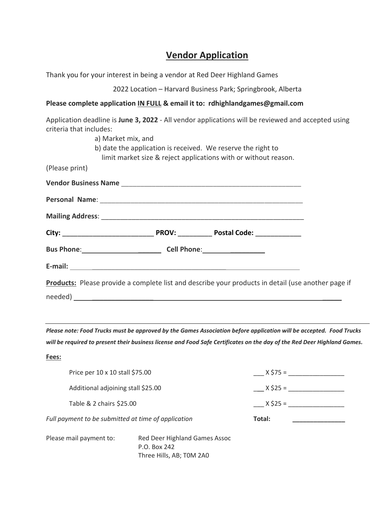## **Vendor Application**

Thank you for your interest in being a vendor at Red Deer Highland Games

2022 Location – Harvard Business Park; Springbrook, Alberta

#### **Please complete application IN FULL & email it to: rdhighlandgames@gmail.com**

| criteria that includes: | Application deadline is June 3, 2022 - All vendor applications will be reviewed and accepted using |  |  |
|-------------------------|----------------------------------------------------------------------------------------------------|--|--|
|                         | a) Market mix, and                                                                                 |  |  |
|                         | b) date the application is received. We reserve the right to                                       |  |  |
|                         | limit market size & reject applications with or without reason.                                    |  |  |
| (Please print)          |                                                                                                    |  |  |
|                         |                                                                                                    |  |  |
|                         |                                                                                                    |  |  |
|                         |                                                                                                    |  |  |
|                         |                                                                                                    |  |  |
|                         | Bus Phone: Cell Phone: Cell Phone:                                                                 |  |  |
|                         |                                                                                                    |  |  |
|                         | Products: Please provide a complete list and describe your products in detail (use another page if |  |  |
|                         |                                                                                                    |  |  |

*Please note: Food Trucks must be approved by the Games Association before application will be accepted. Food Trucks will be required to present their business license and Food Safe Certificates on the day of the Red Deer Highland Games.*

**Fees:** 

| Price per 10 x 10 stall \$75.00                     |                                               | $X $75 =$ |  |  |
|-----------------------------------------------------|-----------------------------------------------|-----------|--|--|
| Additional adjoining stall \$25.00                  | $X$ \$25 =                                    |           |  |  |
|                                                     | Table & 2 chairs \$25.00                      |           |  |  |
| Full payment to be submitted at time of application |                                               | Total:    |  |  |
| Please mail payment to:                             | Red Deer Highland Games Assoc<br>P.O. Box 242 |           |  |  |

Three Hills, AB; T0M 2A0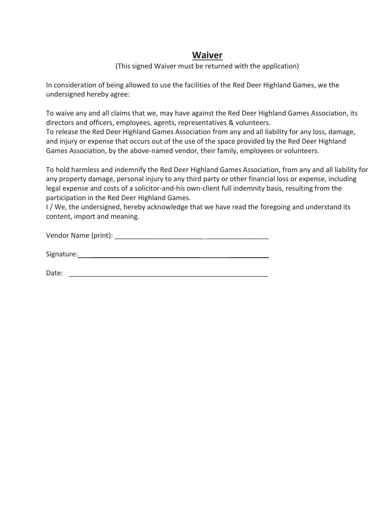### **Waiver**

#### (This signed Waiver must be returned with the application)

In consideration of being allowed to use the facilities of the Red Deer Highland Games, we the undersigned hereby agree:

To waive any and all claims that we, may have against the Red Deer Highland Games Association, its directors and officers, employees, agents, representatives & volunteers. To release the Red Deer Highland Games Association from any and all liability for any loss, damage, and injury or expense that occurs out of the use of the space provided by the Red Deer Highland Games Association, by the above-named vendor, their family, employees or volunteers.

To hold harmless and indemnify the Red Deer Highland Games Association, from any and all liability for any property damage, personal injury to any third party or other financial loss or expense, including legal expense and costs of a solicitor-and-his own-client full indemnity basis, resulting from the participation in the Red Deer Highland Games.

I/We, the undersigned, hereby acknowledge that we have read the foregoing and understand its content, import and meaning.

| Signature: |  |  |  |
|------------|--|--|--|
|            |  |  |  |
|            |  |  |  |

| Date: | ___________<br>________ |  |
|-------|-------------------------|--|
|-------|-------------------------|--|